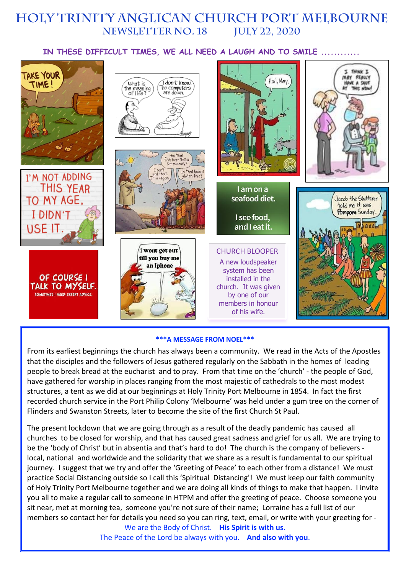# **HOLY TRINITY Anglican church PORT MELBOURNE NEWSLETTER No. 18 July 22, 2020**

### **IN THESE DIFFICULT TIMES, WE ALL NEED A LAUGH AND TO SMILE ............**



#### **\*\*\*A MESSAGE FROM NOEL\*\*\***

From its earliest beginnings the church has always been a community. We read in the Acts of the Apostles that the disciples and the followers of Jesus gathered regularly on the Sabbath in the homes of leading people to break bread at the eucharist and to pray. From that time on the 'church' - the people of God, have gathered for worship in places ranging from the most majestic of cathedrals to the most modest structures, a tent as we did at our beginnings at Holy Trinity Port Melbourne in 1854. In fact the first recorded church service in the Port Philip Colony 'Melbourne' was held under a gum tree on the corner of Flinders and Swanston Streets, later to become the site of the first Church St Paul.

The present lockdown that we are going through as a result of the deadly pandemic has caused all churches to be closed for worship, and that has caused great sadness and grief for us all. We are trying to be the 'body of Christ' but in absentia and that's hard to do! The church is the company of believers local, national and worldwide and the solidarity that we share as a result is fundamental to our spiritual journey. I suggest that we try and offer the 'Greeting of Peace' to each other from a distance! We must practice Social Distancing outside so I call this 'Spiritual Distancing'! We must keep our faith community of Holy Trinity Port Melbourne together and we are doing all kinds of things to make that happen. I invite you all to make a regular call to someone in HTPM and offer the greeting of peace. Choose someone you sit near, met at morning tea, someone you're not sure of their name; Lorraine has a full list of our members so contact her for details you need so you can ring, text, email, or write with your greeting for -

We are the Body of Christ. **His Spirit is with us**. The Peace of the Lord be always with you. **And also with you**.